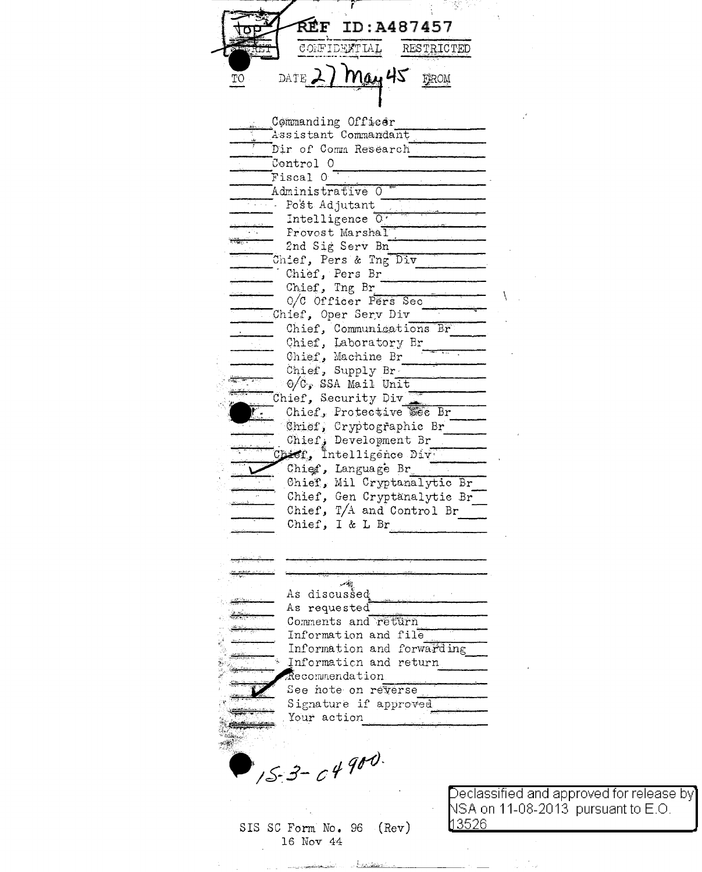**REF ID:A487457** CONFIDENTIAL **RESTRICTED** Mau 45 DATE 2 FROM Commanding Officer Assistant Commandant Dir of Comm Research Control 0 Fiscal O Administrative O Post Adjutant Intelligence  $\overline{0}$ . Provost Marshal 2nd Sig Serv Bn Chief, Pers & Tng Div Chief, Pers Br Chief, Tng Br 0/C Officer Pers Sec Chief, Oper Serv Div Chief, Communications Br Chief, Laboratory Br Chief, Machine Br Chief, Supply Br.  $0/C$ , SSA Mail Unit Chief, Security Div Chief, Protective See Br Chief, Cryptographic Br Chief, Development Br Chief, Intelligence Div. Chief, Language Br Chief, Mil Cryptanalytic Br Chief, Gen Cryptanalytic Br Chief, T/A and Control Br Chief, I & L Br  $-10$ As discussed As requested Comments and return Information and file Information and forwarding Information and return Recommendation See note on reverse Signature if approved Your action  $15 - 3 - 0490$ <u> 13526 </u>

Declassified and approved for release by $\rceil$ NSA on 11-08-2013 pursuant to E.O.

SIS SC Form No. 96  $(Rev)$ 16 Nov 44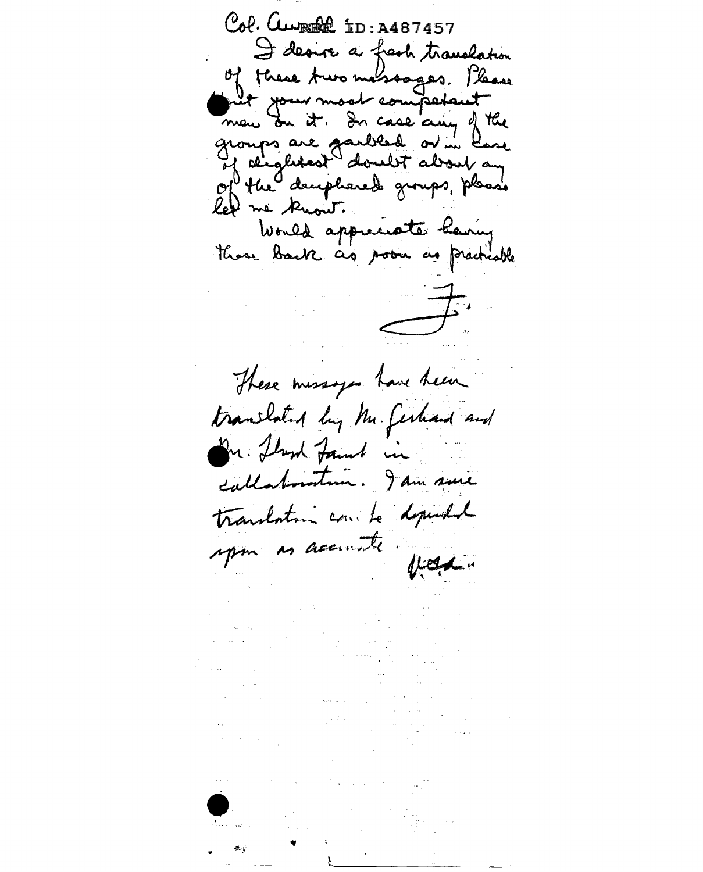Col. CWREE ID: A487457 I desire a fresh translation of these Aux massages. Please net your moot competant groups are garbled or in love let me know. Would appreciate having there back as poon as practicable  $\omega_{\rm c} \sim 10^{-4}$ These missages have been translated by Mr. Gerhard and In fland famil in callaboration. I am sure translation come to depended upon as accounts feder  $\sim 10^{11}$  and  $\sim 10^{11}$  $\epsilon_{\rm{max}}$  and  $\epsilon_{\rm{max}}$ contract the contract of the contract of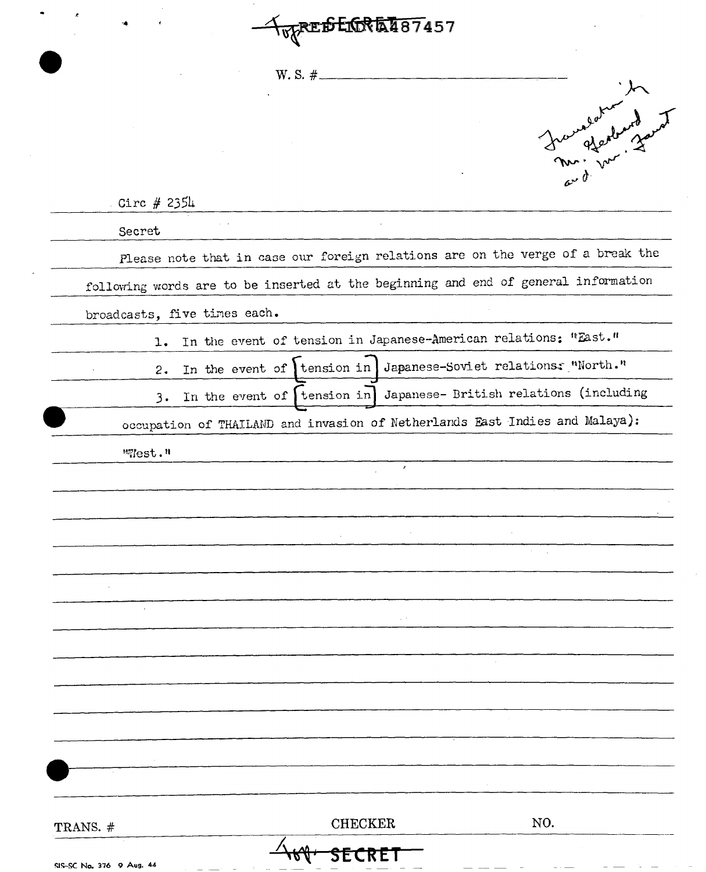**TopPEDEDRET87457** 

 $W. S. #.$ 

| Juri ver Land                                                                      |
|------------------------------------------------------------------------------------|
| Circ $#235\mu$                                                                     |
| Secret                                                                             |
| Please note that in case our foreign relations are on the verge of a break the     |
| following words are to be inserted at the beginning and end of general information |
| broadcasts, five times each.                                                       |
| In the event of tension in Japanese-American relations: "East."<br>1.              |
| In the event of ltension in Japanese-Soviet relations: "North."<br>2.              |
| In the event of   tension in   Japanese- British relations (including<br>3.        |
| occupation of THAILAND and invasion of Netherlands East Indies and Malaya):        |
| "West."                                                                            |
|                                                                                    |
|                                                                                    |
|                                                                                    |
|                                                                                    |
|                                                                                    |
|                                                                                    |
|                                                                                    |
|                                                                                    |
|                                                                                    |
|                                                                                    |
|                                                                                    |
|                                                                                    |
|                                                                                    |
| NO.<br><b>CHECKER</b><br>TRANS. #                                                  |
| SIS-SC No. 376 9 Aug. 44                                                           |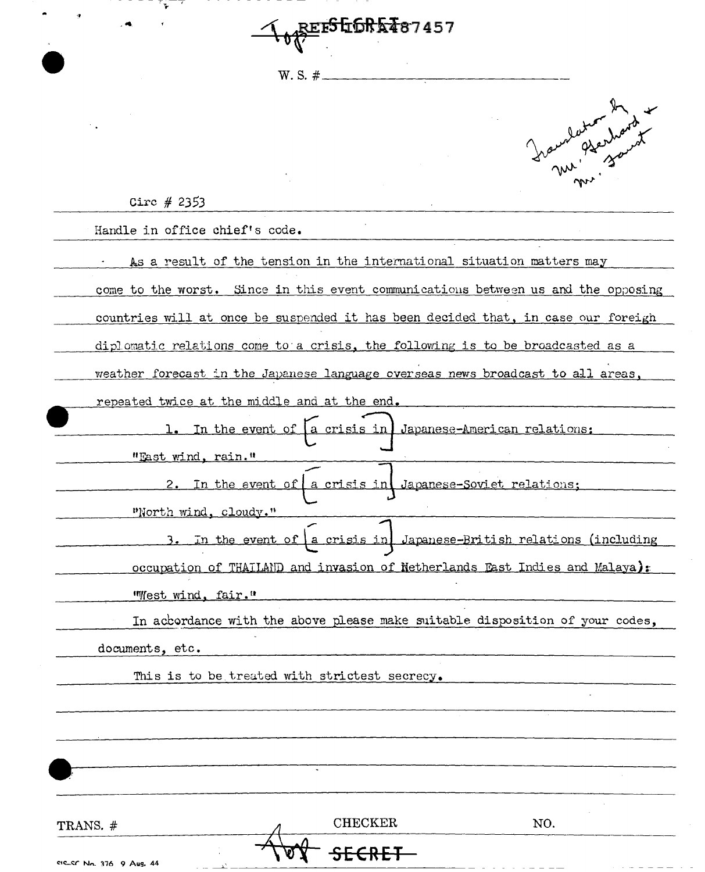**L<sub>op</sub>erSGGRKT87457**  $W.S. #$ 

 $-$  ,  $-$ 

...

 $\sim$  .



с.

|                                |                                                                                   | m<br>w <sub>1</sub> |
|--------------------------------|-----------------------------------------------------------------------------------|---------------------|
| Circ $#2353$                   |                                                                                   |                     |
| Handle in office chief's code. |                                                                                   |                     |
|                                | As a result of the tension in the international situation matters may             |                     |
|                                | come to the worst, Since in this event communications between us and the opposing |                     |
|                                | countries will at once be suspended it has been decided that, in case our foreigh |                     |
|                                | diplomatic relations come to a crisis, the following is to be broadcasted as a    |                     |
|                                | weather forecast in the Japanese language overseas news broadcast to all areas,   |                     |
|                                | repeated twice at the middle and at the end.                                      |                     |
|                                | In the event of [a crisis in Japanese-American relations:                         |                     |
| "East wind, rain."             |                                                                                   |                     |
| 2.                             | In the event of a crisis in Japanese-Soviet relations;                            |                     |
| "North wind, cloudy."          |                                                                                   |                     |
|                                | In the event of a crisis in Japanese-British relations (including                 |                     |
|                                | occupation of THAILAND and invasion of Netherlands East Indies and Malaya):       |                     |
| "West wind, fair."             |                                                                                   |                     |
|                                | In accordance with the above please make suitable disposition of your codes,      |                     |
| documents, etc.                |                                                                                   |                     |
|                                | This is to be treated with strictest secrecy.                                     |                     |
|                                |                                                                                   |                     |
|                                |                                                                                   |                     |
|                                |                                                                                   |                     |
|                                |                                                                                   |                     |
| TRANS. #                       | <b>CHECKER</b>                                                                    | NO.                 |
|                                |                                                                                   |                     |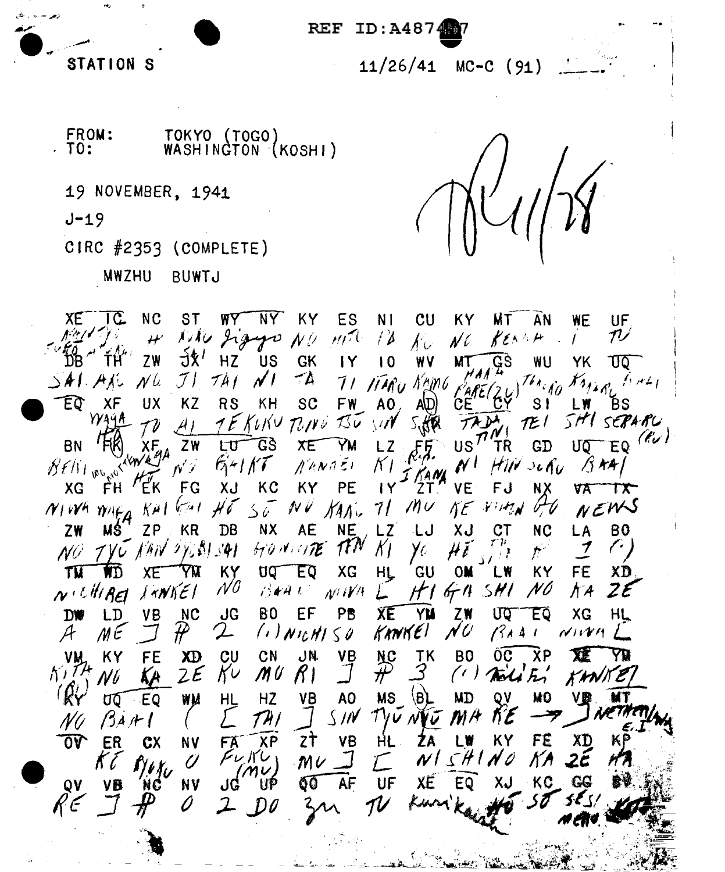

 $REF$ ID:A4874

> $MC-C$  (91)  $11/26/41$

FROM: TOKYO (TOGO)  $.~\tau$ 0: WASHINGTON (KOSHI)

19 NOVEMBER, 1941

 $J - 19$ 

CIRC #2353 (COMPLETE)

MWZHU BUWTJ

ХE IC  $NC$ **ST WALLE** NY I KY **ES** N<sub>1</sub>  $CU$ **KY** ŴТ AN UF WE Niku Jigyu  $MT$  $f\lambda$  ${\cal T}$  $N\ell$  $\bm{\mu}^i$  $\mathcal{N}_{\mathcal{U}}$  $N\ell$ KEN  $\mathcal{L}$ 7  $\frac{1}{2}$ HZ **US GK**  $ZW$ 1Y WÝ WU  $\overline{10}$ MT YK ᠊᠐᠐  $J \mathcal{V}$  $741$  $\mathcal{N}^{\dagger}$  $-4$  $k_{MAP}$  $N<sub>0</sub>$  $\frac{768}{660}$  $\Delta$ AT ATU TI TIARU KAMO  $1.741$  $XF$ **UX KZ RS** KH **SC FW** A<sub>0</sub> ЪS ΈQ AID. CF  $S<sub>1</sub>$  $1$  W WAYA SHI SEPARU TE KOKU TONO TSU SIN TEI  $41$  $EQ$  ( $\ell$ GS បត **BN** ΧF ZW LU XE **YM** LZ US TR GD  $BfN_{1}$  pv  $S$  $54/17$  $\mathcal{N}^+$ /j kA/ NANAEI K I  $H\ddot{H}$  selection 14  $FG$ XJ KC KY PE XG FH ΈK IY **VE** FJ ZT. NΧ VА ГX NEWS  $10<sup>U</sup>$  $H\tilde{6}$  $56$ KANG 71 NE VIMN NIVA MAFA الوسيا NV KH. **NC** ZW HS. ZP ΚR DB **NX** AE **NE LZ** ل ا XJ  $c\tau$ LA **BO** ا ہم HONGTE TEN AAN OVERLEAT  $\chi$ プ  $7$ V $u$ y. NÜ  $\mathcal{F}^{\mathbb{R}}$ GU FE YМ KY XG **OM KY** TW UQ EQ HL XD WD XE LW  $N<sub>0</sub>$  $J$   $\gamma N$  $K$  $\epsilon$  /  $\int$  $H<sup>1</sup>$  $N$ <sup>celli</sup>BEI  $674.5H1$ N O  $N$  (V/H)  $Z\mathcal{E}$  $19441$ N A **NC BO** EF PB XE  $ZW$ **JG** YM UQ ĒÕ XG HL **DW LD VB** N U  $\mathcal{L}$  $(1)$  Nic $H1$   $\leq$  0 KANKEI  $\mathcal{A}$  $M\in$  ${\cal H}$  $BA41$  $NIVM$  $\frac{NC}{T}$ VB **TK**  $\overline{0}C$ ХP KY **FE**  $c<sub>U</sub>$ CN JN. B<sub>0</sub> XE XD VM 3  $2\bm{\mathcal{E}}$  $K\cup$ M U  $R<sub>1</sub>$  $(1)$  Tall  $\mathcal{F}'$ KANI NÜ **HZ MS**  $\langle B \rangle$ OV MO ٧B A<sub>0</sub> **MD** VB МT ರಾ ∴EQ WM HL TH, S IN  $7$ VV NI  $M/$  $\beta$ AH N (F ZŤ **VB** FÉ  $\overline{0}\overline{v}$ FÄ **XP** KΥ ER HL ZA LW XD **CX NV**  $F\cup$  KU  $N1SH1N$ KA Û Û  $MC$ 'MV. **NV** ΚC QV JĠ UP 00 AF UF XE EQ NC VB D K E 7